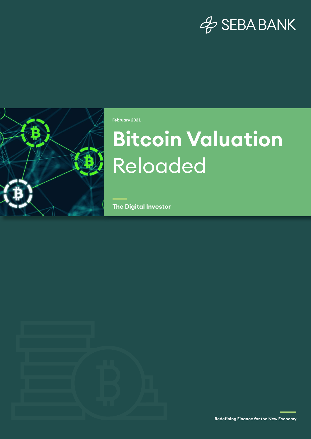## & SEBA BANK



**February 2021**

# **Bitcoin Valuation**  Reloaded

**The Digital Investor**



**Redefining Finance for the New Economy**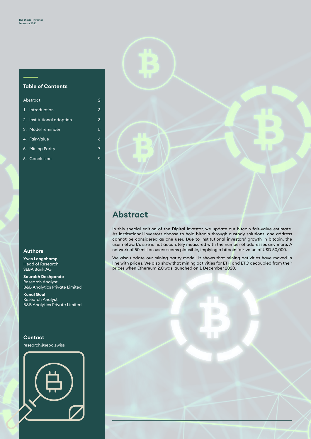#### **Table of Contents**

| Abstract |                           | 2 |
|----------|---------------------------|---|
|          | 1. Introduction           | 3 |
|          | 2. Institutional adoption | 3 |
|          | 3. Model reminder         | 5 |
|          | 4. Fair-Value             | 6 |
|          | 5. Mining Parity          | 7 |
|          | 6. Conclusion             | 9 |

#### **Authors**

**Yves Longchamp** Head of Research SEBA Bank AG

**Saurabh Deshpande** Research Analyst B&B Analytics Private Limited

**Kunal Goel** Research Analyst B&B Analytics Private Limited

#### **Contact**

research@seba.swiss





### **Abstract**

In this special edition of the Digital Investor, we update our bitcoin fair-value estimate. As institutional investors choose to hold bitcoin through custody solutions, one address cannot be considered as one user. Due to institutional investors' growth in bitcoin, the user network's size is not accurately measured with the number of addresses any more. A network of 50 million users seems plausible, implying a bitcoin fair-value of USD 50,000.

We also update our mining parity model. It shows that mining activities have moved in line with prices. We also show that mining activities for ETH and ETC decoupled from their prices when Ethereum 2.0 was launched on 1 December 2020.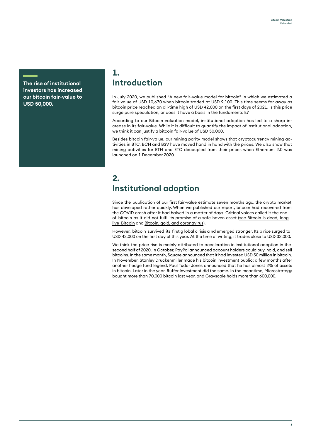**The rise of institutional investors has increased our bitcoin fair-value to USD 50,000.**

#### **1. Introduction**

In July 2020, we published "A new [fair-value](https://www.seba.swiss/research/A-new-fair-value-model-for-Bitcoin/) model for bitcoin" in which we estimated a fair value of USD 10,670 when bitcoin traded at USD 9,100. This time seems far away as bitcoin price reached an all-time high of USD 42,000 on the first days of 2021. Is this price surge pure speculation, or does it have a basis in the fundamentals?

According to our Bitcoin valuation model, institutional adoption has led to a sharp increase in its fair-value. While it is difficult to quantify the impact of institutional adoption, we think it can justify a bitcoin fair-value of USD 50,000.

Besides bitcoin fair-value, our mining parity model shows that cryptocurrency mining activities in BTC, BCH and BSV have moved hand in hand with the prices. We also show that mining activities for ETH and ETC decoupled from their prices when Ethereum 2.0 was launched on 1 December 2020.

### **2. Institutional adoption**

Since the publication of our first fair-value estimate seven months ago, the crypto market has developed rather quickly. When we published our report, bitcoin had recovered from the COVID crash after it had halved in a matter of days. Critical voices called it the end of bitcoin as it did not fulfil its promise of a safe-haven asset [\(see Bitcoin is dead, long](https://www.seba.swiss/research/Bitcoin-is-dead-long-live-Bitcoin/)  live Bitcoin and [Bitcoin, gold, and coronavirus\).](https://www.seba.swiss/research/Bitcoin-gold-and-coronavirus)

However, bitcoin survived its first g lobal c risis a nd emerged stronger. Its p rice surged to USD 42,000 on the first day of this year. At the time of writing, it trades close to USD 32,000.

We think the price rise is mainly attributed to acceleration in institutional adoption in the second half of 2020. In October, PayPal announced account holders could buy, hold, and sell bitcoins. In the same month, Square announced that it had invested USD 50 million in bitcoin. In November, Stanley Druckenmiller made his bitcoin investment public; a few months after another hedge fund legend, Paul Tudor Jones announced that he has almost 2% of assets in bitcoin. Later in the year, Ruffer Investment did the same. In the meantime, Microstrategy bought more than 70,000 bitcoin last year, and Grayscale holds more than 600,000.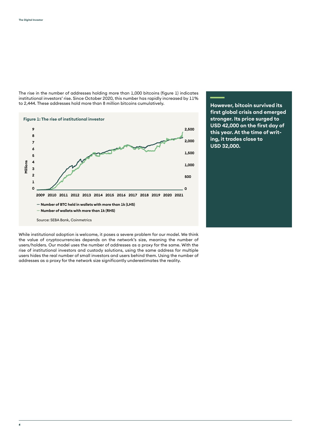**46**

The rise in the number of addresses holding more than 1,000 bitcoins (figure 1) indicates institutional investors' rise. Since October 2020, this number has rapidly increased by 11% to 2,444. These addresses hold more than 8 million bitcoins cumulatively.



While institutional adoption is welcome, it poses a severe problem for our model. We think the value of cryptocurrencies depends on the network's size, meaning the number of users/holders. Our model uses the number of addresses as a proxy for the same. With the rise of institutional investors and custody solutions, using the same address for multiple users hides the real number of small investors and users behind them. Using the number of addresses as a proxy for the network size significantly underestimates the reality.

**However, bitcoin survived its first global crisis and emerged stronger. Its price surged to USD 42,000 on the first day of this year. At the time of writing, it trades close to USD 32,000.**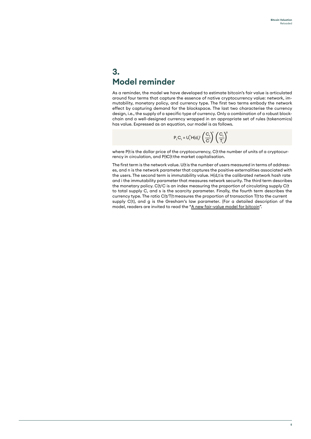#### **3. Model reminder**

As a reminder, the model we have developed to estimate bitcoin's fair value is articulated around four terms that capture the essence of native cryptocurrency value: network, immutability, monetary policy, and currency type. The first two terms embody the network effect by capturing demand for the blockspace. The last two characterise the currency design, i.e., the supply of a specific type of currency. Only a combination of a robust blockchain and a well-designed currency wrapped in an appropriate set of rules (tokenomics) has value. Expressed as an equation, our model is as follows.

$$
\mathsf{P}_{_{\mathsf{t}}} \mathsf{C}_{_{\mathsf{t}}} = \mathsf{U}_{_{\mathsf{t}}}^{^{\mathsf{n}}} \mathsf{H}(d_{_{\mathsf{t}}})^{^{\mathsf{j}}} \left(\frac{\mathsf{C}_{_{\mathsf{t}}}}{\mathsf{C}}\right)^{\! \mathsf{s}} \left(\frac{\mathsf{C}_{_{\mathsf{t}}}}{\mathsf{T}_{_{\mathsf{t}}}}\right)^{\! \mathsf{g}}
$$

where P(tis the dollar price of the cryptocurrency, C(tthe number of units of a cryptocurrency in circulation, and P(tC(tthe market capitalisation.

The first term is the network value. U(tis the number of users measured in terms of addresses, and n is the network parameter that captures the positive externalities associated with the users. The second term is immutability value. H(d,t is the calibrated network hash rate and i the immutability parameter that measures network security. The third term describes the monetary policy. C(t/C is an index measuring the proportion of circulating supply C(t to total supply C, and s is the scarcity parameter. Finally, the fourth term describes the currency type. The ratio C(t/T(t measures the proportion of transaction T(t to the current supply C(t), and g is the Gresham's law parameter. (For a detailed description of the model, readers are invited to read th[e "A new fair-value model for bitcoin".](https://www.seba.swiss/research/A-new-fair-value-model-for-Bitcoin/)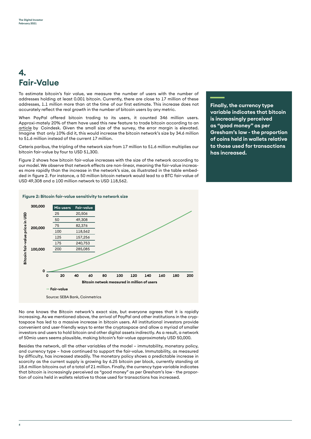### **4. Fair-Value**

To estimate bitcoin's fair value, we measure the number of users with the number of addresses holding at least 0.001 bitcoin. Currently, there are close to 17 million of these addresses, 1.1 million more than at the time of our first estimate. This increase does not accurately reflect the real growth in the number of bitcoin users by any metric.

When PayPal offered bitcoin trading to its users, it counted 346 million users. Approxi-mately 20% of them have used this new feature to trade bitcoin according to an [article by](https://www.coindesk.com/mizuho-paypal-bitcoin-survey) Coindesk. Given the small size of the survey, the error margin is elevated. Imagine that only 10% did it, this would increase the bitcoin network's size by 34.6 million to 51.6 million instead of the current 17 million.

Ceteris paribus, the tripling of the network size from 17 million to 51.6 million multiplies our bitcoin fair-value by four to USD 51,300.

Figure 2 shows how bitcoin fair-value increases with the size of the network according to our model. We observe that network effects are non-linear, meaning the fair-value increases more rapidly than the increase in the network's size, as illustrated in the table embedded in figure 2. For instance, a 50 million bitcoin network would lead to a BTC fair-value of USD 49,308 and a 100 million network to USD 118,562.

**Finally, the currency type variable indicates that bitcoin is increasingly perceived as "good money" as per Gresham's law - the proportion of coins held in wallets relative to those used for transactions has increased.**



No one knows the Bitcoin network's exact size, but everyone agrees that it is rapidly increasing. As we mentioned above, the arrival of PayPal and other institutions in the cryptospace has led to a massive increase in bitcoin users. All institutional investors provide convenient and user-friendly ways to enter the cryptospace and allow a myriad of smaller investors and users to hold bitcoin and other digital assets indirectly. As a result, a network of 50mio users seems plausible, making bitcoin's fair-value approximately USD 50,000.

Besides the network, all the other variables of the model – immutability, monetary policy, and currency type – have continued to support the fair-value. Immutability, as measured by difficulty, has increased steadily. The monetary policy shows a predictable increase in scarcity as the current supply is growing by 6.25 bitcoin per block, currently standing at 18.6 million bitcoins out of a total of 21 million. Finally, the currency type variable indicates that bitcoin is increasingly perceived as "good money" as per Gresham's law - the proportion of coins held in wallets relative to those used for transactions has increased.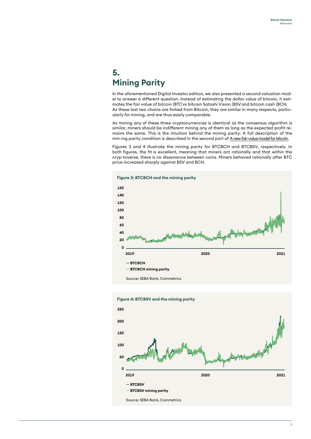#### **5. Mining Parity**

In the aforementioned Digital Investor edition, we also presented a second valuation model to answer a different question. Instead of estimating the dollar value of bitcoin, it estimates the fair value of bitcoin (BTC vs bitcoin Satoshi Vision (BSV and bitcoin cash (BCH. As these last two chains are forked from Bitcoin, they are similar in many respects, particularly for mining, and are thus easily comparable.

As mining any of these three cryptocurrencies is identical as the consensus algorithm is similar, miners should be indifferent mining any of them as long as the expected profit remains the same. This is the intuition behind the mining parity. A full description of the min-ing parity condition is described in the second part of Anew fair-value model for bitcoin.

Figures 3 and 4 illustrate the mining parity for BTCBCH and BTCBSV, respectively. In both figures, the fit is excellent, meaning that miners act rationally and that within the cryp-toverse, there is no dissonance between coins. Miners behaved rationally after BTC price increased sharply against BSV and BCH.





**Figure 4: BTCBSV and the mining parity**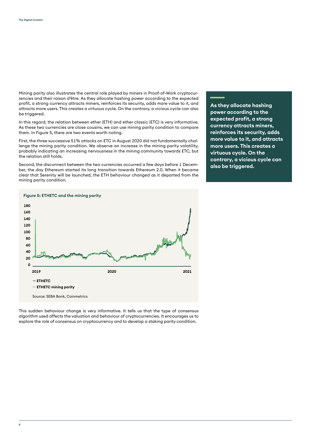Mining parity also illustrates the central role played by miners in Proof-of-Work cryptocurrencies and their raison d'être. As they allocate hashing power according to the expected profit, a strong currency attracts miners, reinforces its security, adds more value to it, and attracts more users. This creates a virtuous cycle. On the contrary, a vicious cycle can also be triggered.

In this regard, the relation between ether (ETH) and ether classic (ETC) is very informative. As these two currencies are close cousins, we can use mining parity condition to compare them. In Figure 5, there are two events worth noting.

First, the three successive 51% attacks on ETC in August 2020 did not fundamentally challenge the mining parity condition. We observe an increase in the mining parity volatility, probably indicating an increasing nervousness in the mining community towards ETC, but the relation still holds.

Second, the disconnect between the two currencies occurred a few days before 1 December, the day Ethereum started its long transition towards Ethereum 2.0. When it became clear that Serenity will be launched, the ETH behaviour changed as it departed from the mining parity condition.

**As they allocate hashing power according to the expected profit, a strong currency attracts miners, reinforces its security, adds more value to it, and attracts more users. This creates a virtuous cycle. On the contrary, a vicious cycle can also be triggered.**



This sudden behaviour change is very informative. It tells us that the type of consensus algorithm used affects the valuation and behaviour of cryptocurrencies. It encourages us to explore the role of consensus on cryptocurrency and to develop a staking parity condition.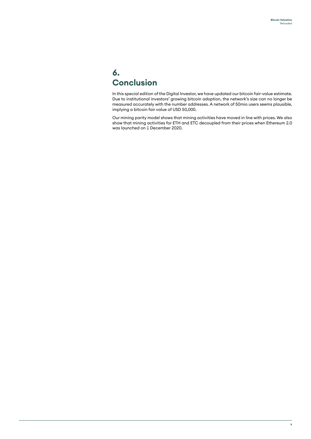### **6. Conclusion**

In this special edition of the Digital Investor, we have updated our bitcoin fair-value estimate. Due to institutional investors' growing bitcoin adoption, the network's size can no longer be measured accurately with the number addresses. A network of 50mio users seems plausible, implying a bitcoin fair value of USD 50,000.

Our mining parity model shows that mining activities have moved in line with prices. We also show that mining activities for ETH and ETC decoupled from their prices when Ethereum 2.0 was launched on 1 December 2020.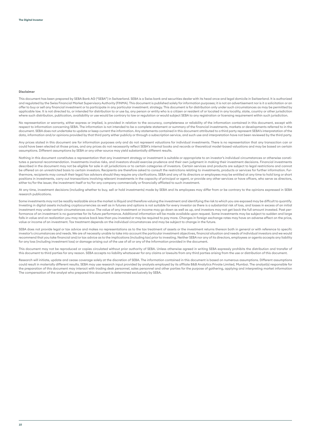#### **Disclaimer**

This document has been prepared by SEBA Bank AG ("SEBA") in Switzerland. SEBA is a Swiss bank and securities dealer with its head once and legal domicile in Switzerland. It is authorized and regulated by the Swiss Financial Market Supervisory Authority (FINMA). This document is published solely for information purposes; it is not an advertisement nor is it a solicitation or an<br>offer to buy or sell any fina applicable law. It is not directed to, or intended for distribution to or use by, any person or entity who is a citizen or resident of or located in any locality, state, country or other jurisdiction where such distribution, publication, availability or use would be contrary to law or regulation or would subject SEBA to any registration or licensing requirement within such jurisdiction.

No representation or warranty, either express or implied, is provided in relation to the accuracy, completeness or reliability of the information contained in this document, except with respect to information concerning SEBA. The information is not intended to be a complete statement or summary of the financial investments, markets or developments referred to in the document. SEBA does not undertake to update or keep current the information. Any statements contained in this document attributed to a third party represent SEBA's interpretation of the data, information and/or opinions provided by that third party either publicly or through a subscription service, and such use and interpretation have not been reviewed by the third party.

Any prices stated in this document are for information purposes only and do not represent valuations for individual investments. There is no representation that any transaction can or could have been elected at those prices, and any prices do not necessarily reflect SEBA's internal books and records or theoretical model-based valuations and may be based on certain assumptions. Different assumptions by SEBA or any other source may yield substantially different results.

Nothing in this document constitutes a representation that any investment strategy or investment is suitable or appropriate to an investor's individual circumstances or otherwise constitutes a personal recommendation. Investments involve risks, and investors should exercise prudence and their own judgment in making their investment decisions. Financial investments described in the document may not be eligible for sale in all jurisdictions or to certain categories of investors. Certain services and products are subject to legal restrictions and cannot be offered on an unrestricted basis to certain investors. Recipients are therefore asked to consult the restrictions relating to investments, products or services for further information. Furthermore, recipients may consult their legal/tax advisors should they require any clarifcations. SEBA and any of its directors or employees may be entitled at any time to hold long or short positions in investments, carry out transactions involving relevant investments in the capacity of principal or agent, or provide any other services or have offcers, who serve as directors, either to/for the issuer, the investment itself or to/for any company commercially or financially affliated to such investment.

At any time, investment decisions (including whether to buy, sell or hold investments) made by SEBA and its employees may differ from or be contrary to the opinions expressed in SEBA research publications.

Some investments may not be readily realizable since the market is illiquid and therefore valuing the investment and identifying the risk to which you are exposed may be diffcult to quantify. Investing in digital assets including cryptocurrencies as well as in futures and options is not suitable for every investor as there is a substantial risk of loss, and losses in excess of an initial investment may under certain circumstances occur. The value of any investment or income may go down as well as up, and investors may not get back the full amount invested. Past performance of an investment is no guarantee for its future performance. Additional information will be made available upon request. Some investments may be subject to sudden and large falls in value and on realization you may receive back less than you invested or may be required to pay more. Changes in foreign exchange rates may have an adverse effect on the price, value or income of an investment. Tax treatment depends on the individual circumstances and may be subject to change in the future.

SEBA does not provide legal or tax advice and makes no representations as to the tax treatment of assets or the investment returns thereon both in general or with reference to specifc investor's circumstances and needs. We are of necessity unable to take into account the particular investment objectives, financial situation and needs of individual investors and we would recommend that you take financial and/or tax advice as to the implications (including tax) prior to investing. Neither SEBA nor any of its directors, employees or agents accepts any liability for any loss (including investment loss) or damage arising out of the use of all or any of the Information provided in the document.

This document may not be reproduced or copies circulated without prior authority of SEBA. Unless otherwise agreed in writing SEBA expressly prohibits the distribution and transfer of this document to third parties for any reason. SEBA accepts no liability whatsoever for any claims or lawsuits from any third parties arising from the use or distribution of this document.

Research will initiate, update and cease coverage solely at the discretion of SEBA. The information contained in this document is based on numerous assumptions. Different assumptions could result in materially different results. SEBA may use research input provided by analysts employed by its affliate B&B Analytics Private Limited, Mumbai. The analyst(s) responsible for the preparation of this document may interact with trading desk personnel, sales personnel and other parties for the purpose of gathering, applying and interpreting market information The compensation of the analyst who prepared this document is determined exclusively by SEBA.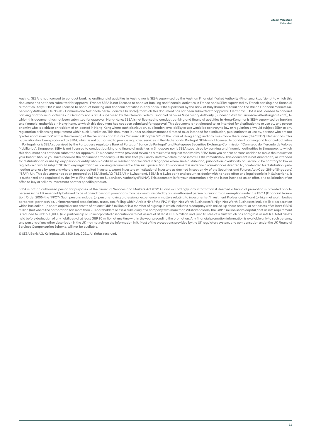Austria: SEBA is not licensed to conduct banking andfinancial activities in Austria nor is SEBA supervised by the Austrian Financial Market Authority (Finanzmarktaufsicht), to which this document has not been submitted for approval. France: SEBA is not licensed to conduct banking and financial activities in France nor is SEBA supervised by French banking and financial authorities. Italy: SEBA is not licensed to conduct banking and financial activities in Italy nor is SEBA supervised by the Bank of Italy (Banca d'Italia) and the Italian Financial Markets Supervisory Authority (CONSOB - Commissione Nazionale per le Società e la Borsa), to which this document has not been submitted for approval. Germany: SEBA is not licensed to conduct banking and financial activities in Germany nor is SEBA supervised by the German Federal Financial Services Supervisory Authority (Bundesanstalt für Finanzdienstleistungsaufsicht), to which this document has not been submitted for approval. Hong-Kong: SEBA is not licensed to conduct banking and financial activities in Hong-Kong nor is SEBA supervised by banking and financial authorities in Hong-Kong, to which this document has not been submitted for approval. This document is not directed to, or intended for distribution to or use by, any person or entity who is a citizen or resident of or located in Hong-Kong where such distribution, publication, availability or use would be contrary to law or regulation or would subject SEBA to any registration or licensing requirement within such jurisdiction. This document is under no circumstances directed to, or intended for distribution, publication to or use by, persons who are not "professional investors" within the meaning of the Securities and Futures Ordinance (Chapter 571 of the Laws of Hong Kong) and any rules made thereunder (the "SFO"). Netherlands: This publication has been produced by SEBA, which is not authorised to provide regulated services in the Netherlands. Portugal: SEBA is not licensed to conduct banking and financial activities in Portugal nor is SEBA supervised by the Portuguese regulators Bank of Portugal "Banco de Portugal" and Portuguese Securities Exchange Commission "Comissao do Mercado de Valores Mobiliarios". Singapore: SEBA is not licensed to conduct banking and financial activities in Singapore nor is SEBA supervised by banking and financial authorities in Singapore, to which this document has not been submitted for approval. This document was provided to you as a result of a request received by SEBA from you and/or persons entitled to make the request on your behalf. Should you have received the document erroneously, SEBA asks that you kindly destroy/delete it and inform SEBA immediately. This document is not directed to, or intended for distribution to or use by, any person or entity who is a citizen or resident of or located in Singapore where such distribution, publication, availability or use would be contrary to law or regulation or would subject SEBA to any registration or licensing requirement within such jurisdiction. This document is under no circumstances directed to, or intended for distribution, pubcation to or use by, persons who are not accredited investors, expert investors or institutional investors as declned in section 4A of the Securities and Futures Act (Cap. 289 of Singapore) ("SFA"). UK: This document has been prepared by SEBA Bank AG ("SEBA") in Switzerland. SEBA is a Swiss bank and securities dealer with its head offce and legal domicile in Switzerland. It is authorized and regulated by the Swiss Financial Market Supervisory Authority (FINMA). This document is for your information only and is not intended as an offer, or a solicitation of an offer, to buy or sell any investment or other specific product.

SEBA is not an authorised person for purposes of the Financial Services and Markets Act (FSMA), and accordingly, any information if deemed a financial promotion is provided only to persons in the UK reasonably believed to be of a kind to whom promotions may be communicated by an unauthorised person pursuant to an exemption under the FSMA (Financial Promotion) Order 2005 (the "FPO"). Such persons include: (a) persons having professional experience in matters relating to investments ("Investment Professionals") and (b) high net worth bodies corporate, partnerships, unincorporated associations, trusts, etc. falling within Article 49 of the FPO ("High Net Worth Businesses"). High Net Worth Businesses include: (i) a corporation which has called-up share capital or net assets of at least GBP 5 million or is a member of a group in which includes a company with called-up share capital or net assets of at least GBP 5 million (but where the corporation has more than 20 shareholders or it is a subsidiary of a company with more than 20 shareholders, the GBP 5 million share capital / net assets requirement is reduced to GBP 500,000); (ii) a partnership or unincorporated association with net assets of at least GBP 5 million and (iii) a trustee of a trust which has had gross assets (i.e. total assets held before deduction of any liabilities) of at least GBP 10 million at any time within the year preceding the promotion. Any financial promotion information is available only to such persons, and persons of any other description in the UK may not rely on the information in it. Most of the protections provided by the UK regulatory system, and compensation under the UK Financial Services Compensation Scheme, will not be available.

© SEBA Bank AG, Kolinplatz 15, 6300 Zug. 2021. All rights reserved.